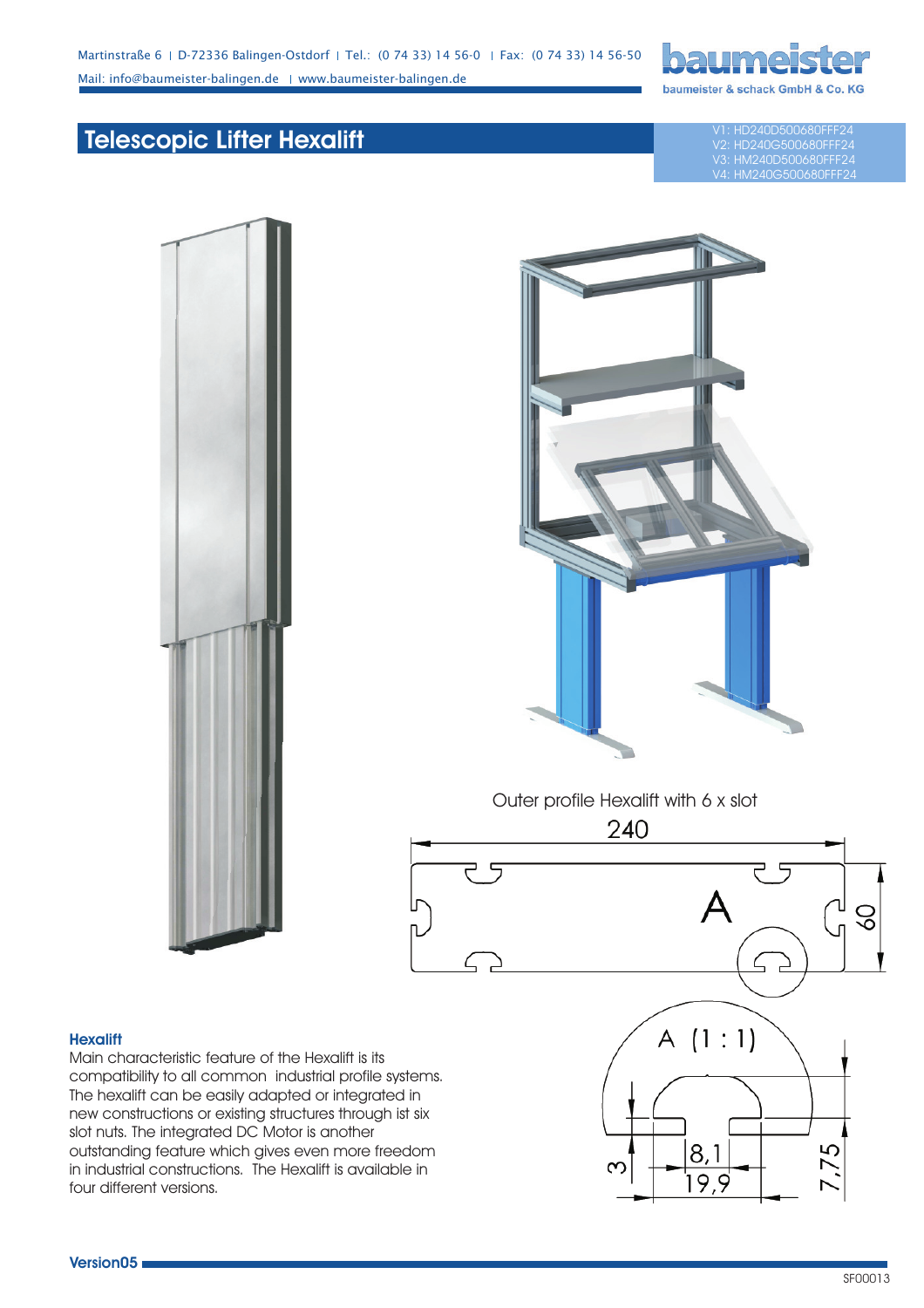

## **Telescopic Lifter Hexalift**

V1: HD240D500680FFF24 V2: HD240G500680FFF24 V3: HM240D500680FFF24 1240G500680FFF24





Outer profile Hexalift with 6 x slot 240

## **Hexalift**

Main characteristic feature of the Hexalift is its compatibility to all common industrial profile systems. The hexalift can be easily adapted or integrated in new constructions or existing structures through ist six slot nuts. The integrated DC Motor is another outstanding feature which gives even more freedom in industrial constructions. The Hexalift is available in four different versions.



 $\infty$